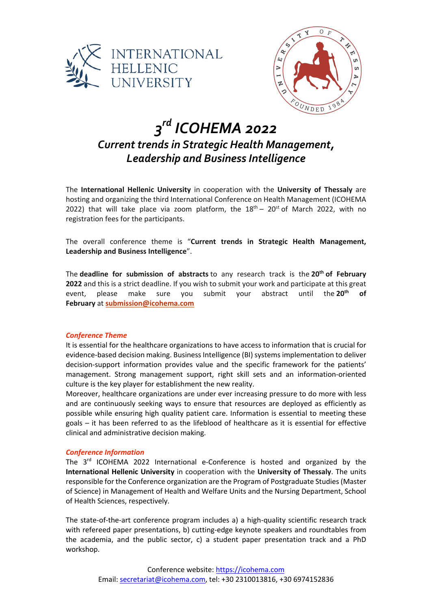



# *3rd ICOHEMA 2022 Current trends in Strategic Health Management, Leadership and Business Intelligence*

The **International Hellenic University** in cooperation with the **University of Thessaly** are hosting and organizing the third International Conference on Health Management (ICOHEMA 2022) that will take place via zoom platform, the  $18<sup>th</sup> - 20<sup>st</sup>$  of March 2022, with no registration fees for the participants.

The overall conference theme is "**Current trends in Strategic Health Management, Leadership and Business Intelligence**".

The **deadline for submission of abstracts** to any research track is the **20th of February 2022** and this is a strict deadline. If you wish to submit your work and participate at this great event, please make sure you submit your abstract until the **20th of February** at **submission@icohema.com**

# *Conference Theme*

It is essential for the healthcare organizations to have access to information that is crucial for evidence-based decision making. Business Intelligence (BI) systems implementation to deliver decision-support information provides value and the specific framework for the patients' management. Strong management support, right skill sets and an information-oriented culture is the key player for establishment the new reality.

Moreover, healthcare organizations are under ever increasing pressure to do more with less and are continuously seeking ways to ensure that resources are deployed as efficiently as possible while ensuring high quality patient care. Information is essential to meeting these goals – it has been referred to as the lifeblood of healthcare as it is essential for effective clinical and administrative decision making.

# *Conference Information*

The 3<sup>rd</sup> ICOHEMA 2022 International e-Conference is hosted and organized by the **International Hellenic University** in cooperation with the **University of Thessaly**. The units responsible for the Conference organization are the Program of Postgraduate Studies (Master of Science) in Management of Health and Welfare Units and the Nursing Department, School of Health Sciences, respectively.

The state-of-the-art conference program includes a) a high-quality scientific research track with refereed paper presentations, b) cutting-edge keynote speakers and roundtables from the academia, and the public sector, c) a student paper presentation track and a PhD workshop.